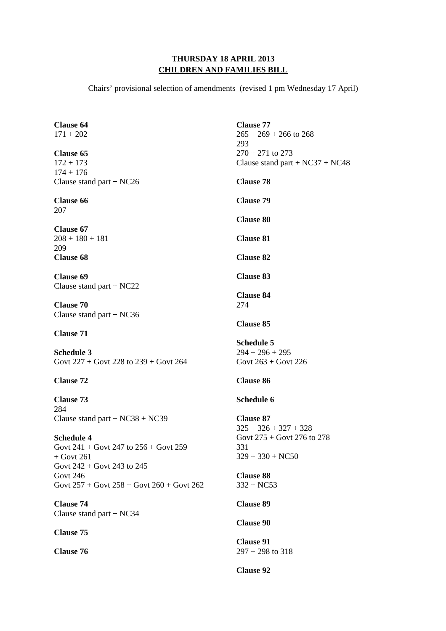## **THURSDAY 18 APRIL 2013 CHILDREN AND FAMILIES BILL**

Chairs' provisional selection of amendments (revised 1 pm Wednesday 17 April)

**Clause 64**   $171 + 202$ **Clause 65**  172 + 173  $174 + 176$ Clause stand part + NC26 **Clause 66**  207 **Clause 67**   $208 + 180 + 181$ 209 **Clause 68 Clause 69**  Clause stand part + NC22 **Clause 70**  Clause stand part + NC36 **Clause 71 Schedule 3**  Govt 227 + Govt 228 to 239 + Govt 264 **Clause 72 Clause 73**  284 Clause stand part + NC38 + NC39 **Schedule 4**  Govt 241 + Govt 247 to 256 + Govt 259  $+$  Govt 261 Govt 242 + Govt 243 to 245 Govt 246 Govt 257 + Govt 258 + Govt 260 + Govt 262 **Clause 74**  Clause stand part + NC34 **Clause 75 Clause 76 Clause 77**   $265 + 269 + 266$  to 268 293  $270 + 271$  to 273 Clause stand part + NC37 + NC48 **Clause 78 Clause 79 Clause 80 Clause 81 Clause 82 Clause 83 Clause 84**  274 **Clause 85 Schedule 5**   $294 + 296 + 295$ Govt 263 + Govt 226 **Clause 86 Schedule 6 Clause 87**   $325 + 326 + 327 + 328$ Govt 275 + Govt 276 to 278 331  $329 + 330 + NCS0$ **Clause 88**  332 + NC53 **Clause 89 Clause 90 Clause 91**  297 + 298 to 318 **Clause 92**